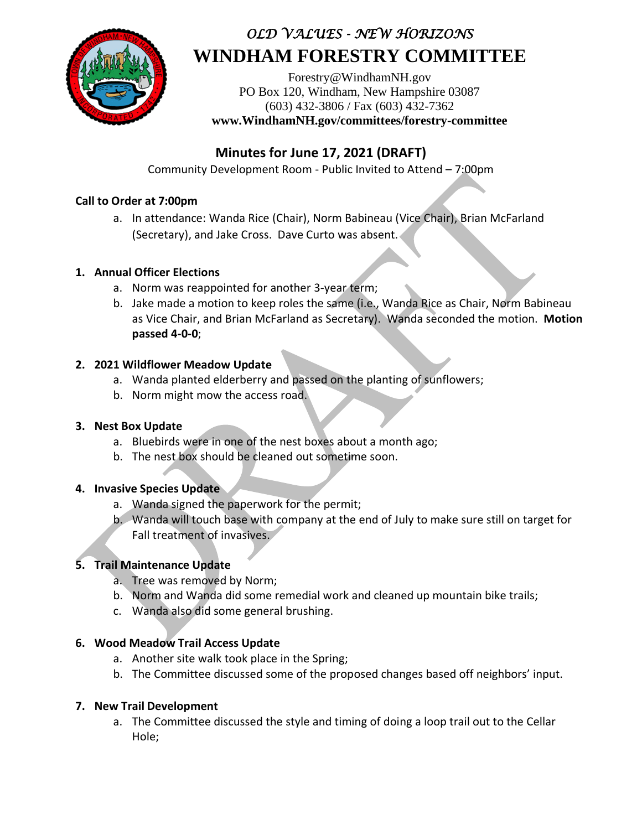

# *OLD VALUES - NEW HORIZONS* **WINDHAM FORESTRY COMMITTEE**

[Forestry@WindhamNH.gov](mailto:Forestry@WindhamNH.gov) PO Box 120, Windham, New Hampshire 03087 (603) 432-3806 / Fax (603) 432-7362 **www.WindhamNH.gov/committees/forestry-committee**

# **Minutes for June 17, 2021 (DRAFT)**

Community Development Room - Public Invited to Attend – 7:00pm

#### **Call to Order at 7:00pm**

a. In attendance: Wanda Rice (Chair), Norm Babineau (Vice Chair), Brian McFarland (Secretary), and Jake Cross. Dave Curto was absent.

#### **1. Annual Officer Elections**

- a. Norm was reappointed for another 3-year term;
- b. Jake made a motion to keep roles the same (i.e., Wanda Rice as Chair, Norm Babineau as Vice Chair, and Brian McFarland as Secretary). Wanda seconded the motion. **Motion passed 4-0-0**;

#### **2. 2021 Wildflower Meadow Update**

- a. Wanda planted elderberry and passed on the planting of sunflowers;
- b. Norm might mow the access road.

#### **3. Nest Box Update**

- a. Bluebirds were in one of the nest boxes about a month ago;
- b. The nest box should be cleaned out sometime soon.

#### **4. Invasive Species Update**

- a. Wanda signed the paperwork for the permit;
- b. Wanda will touch base with company at the end of July to make sure still on target for Fall treatment of invasives.

## **5. Trail Maintenance Update**

- a. Tree was removed by Norm;
- b. Norm and Wanda did some remedial work and cleaned up mountain bike trails;
- c. Wanda also did some general brushing.

#### **6. Wood Meadow Trail Access Update**

- a. Another site walk took place in the Spring;
- b. The Committee discussed some of the proposed changes based off neighbors' input.

## **7. New Trail Development**

a. The Committee discussed the style and timing of doing a loop trail out to the Cellar Hole;